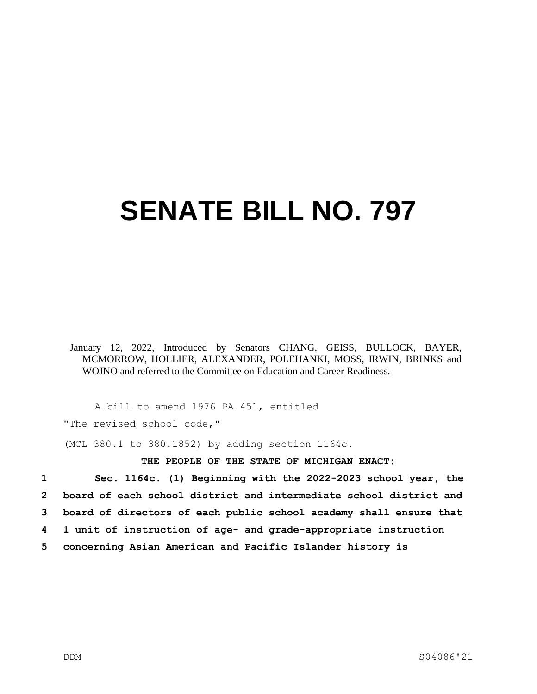## **SENATE BILL NO. 797**

January 12, 2022, Introduced by Senators CHANG, GEISS, BULLOCK, BAYER, MCMORROW, HOLLIER, ALEXANDER, POLEHANKI, MOSS, IRWIN, BRINKS and WOJNO and referred to the Committee on Education and Career Readiness.

A bill to amend 1976 PA 451, entitled

"The revised school code,"

(MCL 380.1 to 380.1852) by adding section 1164c.

## **THE PEOPLE OF THE STATE OF MICHIGAN ENACT:**

 **Sec. 1164c. (1) Beginning with the 2022-2023 school year, the board of each school district and intermediate school district and board of directors of each public school academy shall ensure that 1 unit of instruction of age- and grade-appropriate instruction concerning Asian American and Pacific Islander history is**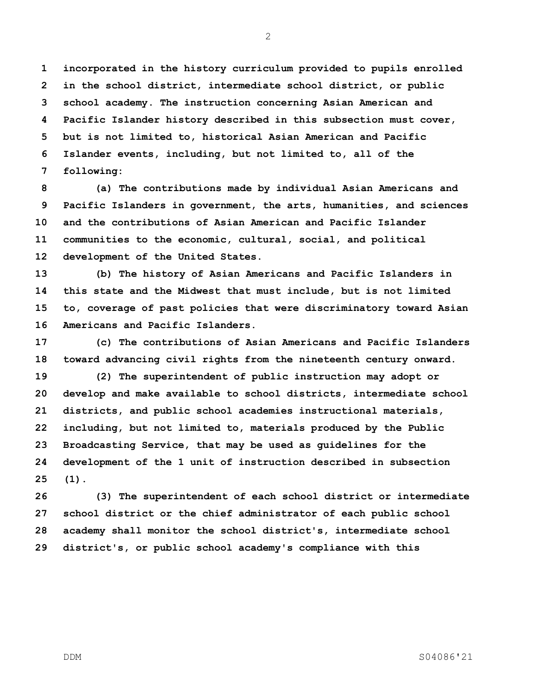**incorporated in the history curriculum provided to pupils enrolled in the school district, intermediate school district, or public school academy. The instruction concerning Asian American and Pacific Islander history described in this subsection must cover, but is not limited to, historical Asian American and Pacific Islander events, including, but not limited to, all of the following:**

 **(a) The contributions made by individual Asian Americans and Pacific Islanders in government, the arts, humanities, and sciences and the contributions of Asian American and Pacific Islander communities to the economic, cultural, social, and political development of the United States.**

 **(b) The history of Asian Americans and Pacific Islanders in this state and the Midwest that must include, but is not limited to, coverage of past policies that were discriminatory toward Asian Americans and Pacific Islanders.**

 **(c) The contributions of Asian Americans and Pacific Islanders toward advancing civil rights from the nineteenth century onward.**

 **(2) The superintendent of public instruction may adopt or develop and make available to school districts, intermediate school districts, and public school academies instructional materials, including, but not limited to, materials produced by the Public Broadcasting Service, that may be used as guidelines for the development of the 1 unit of instruction described in subsection (1).**

 **(3) The superintendent of each school district or intermediate school district or the chief administrator of each public school academy shall monitor the school district's, intermediate school district's, or public school academy's compliance with this**